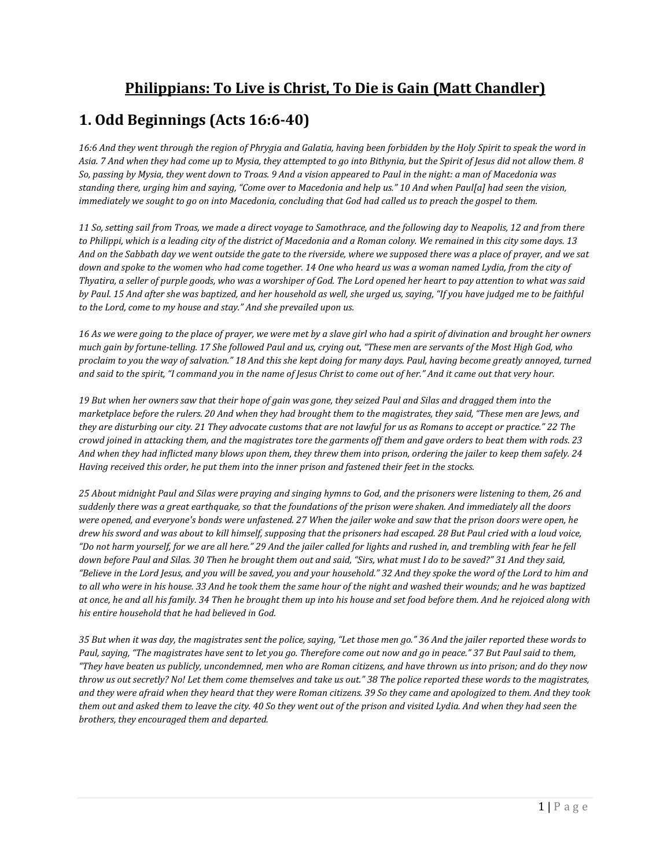### **Philippians: To Live is Christ, To Die is Gain (Matt Chandler)**

### **1. Odd Beginnings (Acts 16:6-40)**

*16:6 And they went through the region of Phrygia and Galatia, having been forbidden by the Holy Spirit to speak the word in Asia. 7 And when they had come up to Mysia, they attempted to go into Bithynia, but the Spirit of Jesus did not allow them. 8 So, passing by Mysia, they went down to Troas. 9 And a vision appeared to Paul in the night: a man of Macedonia was standing there, urging him and saying, "Come over to Macedonia and help us." 10 And when Paul[a] had seen the vision, immediately we sought to go on into Macedonia, concluding that God had called us to preach the gospel to them.* 

*11 So, setting sail from Troas, we made a direct voyage to Samothrace, and the following day to Neapolis, 12 and from there to Philippi, which is a leading city of the district of Macedonia and a Roman colony. We remained in this city some days. 13 And on the Sabbath day we went outside the gate to the riverside, where we supposed there was a place of prayer, and we sat down and spoke to the women who had come together. 14 One who heard us was a woman named Lydia, from the city of Thyatira, a seller of purple goods, who was a worshiper of God. The Lord opened her heart to pay attention to what was said by Paul. 15 And after she was baptized, and her household as well, she urged us, saying, "If you have judged me to be faithful to the Lord, come to my house and stay." And she prevailed upon us.* 

*16 As we were going to the place of prayer, we were met by a slave girl who had a spirit of divination and brought her owners much gain by fortune-telling. 17 She followed Paul and us, crying out, "These men are servants of the Most High God, who proclaim to you the way of salvation." 18 And this she kept doing for many days. Paul, having become greatly annoyed, turned and said to the spirit, "I command you in the name of Jesus Christ to come out of her." And it came out that very hour.* 

*19 But when her owners saw that their hope of gain was gone, they seized Paul and Silas and dragged them into the marketplace before the rulers. 20 And when they had brought them to the magistrates, they said, "These men are Jews, and they are disturbing our city. 21 They advocate customs that are not lawful for us as Romans to accept or practice." 22 The crowd joined in attacking them, and the magistrates tore the garments off them and gave orders to beat them with rods. 23 And when they had inflicted many blows upon them, they threw them into prison, ordering the jailer to keep them safely. 24 Having received this order, he put them into the inner prison and fastened their feet in the stocks.* 

*25 About midnight Paul and Silas were praying and singing hymns to God, and the prisoners were listening to them, 26 and suddenly there was a great earthquake, so that the foundations of the prison were shaken. And immediately all the doors were opened, and everyone's bonds were unfastened. 27 When the jailer woke and saw that the prison doors were open, he drew his sword and was about to kill himself, supposing that the prisoners had escaped. 28 But Paul cried with a loud voice, "Do not harm yourself, for we are all here." 29 And the jailer called for lights and rushed in, and trembling with fear he fell down before Paul and Silas. 30 Then he brought them out and said, "Sirs, what must I do to be saved?" 31 And they said, "Believe in the Lord Jesus, and you will be saved, you and your household." 32 And they spoke the word of the Lord to him and to all who were in his house. 33 And he took them the same hour of the night and washed their wounds; and he was baptized at once, he and all his family. 34 Then he brought them up into his house and set food before them. And he rejoiced along with his entire household that he had believed in God.* 

*35 But when it was day, the magistrates sent the police, saying, "Let those men go." 36 And the jailer reported these words to Paul, saying, "The magistrates have sent to let you go. Therefore come out now and go in peace." 37 But Paul said to them, "They have beaten us publicly, uncondemned, men who are Roman citizens, and have thrown us into prison; and do they now throw us out secretly? No! Let them come themselves and take us out." 38 The police reported these words to the magistrates, and they were afraid when they heard that they were Roman citizens. 39 So they came and apologized to them. And they took them out and asked them to leave the city. 40 So they went out of the prison and visited Lydia. And when they had seen the brothers, they encouraged them and departed.*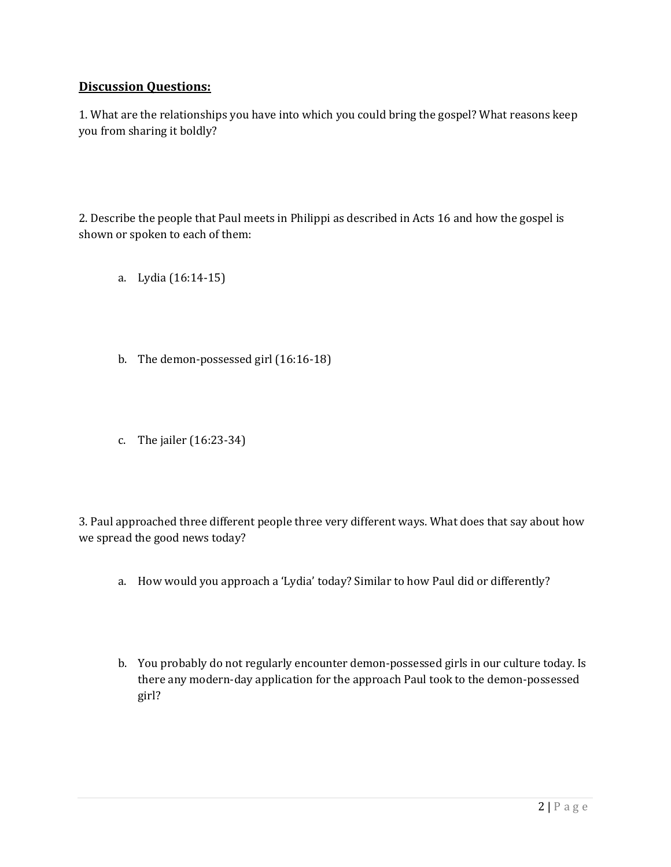#### **Discussion Questions:**

1. What are the relationships you have into which you could bring the gospel? What reasons keep you from sharing it boldly?

2. Describe the people that Paul meets in Philippi as described in Acts 16 and how the gospel is shown or spoken to each of them:

- a. Lydia (16:14-15)
- b. The demon-possessed girl (16:16-18)
- c. The jailer (16:23-34)

3. Paul approached three different people three very different ways. What does that say about how we spread the good news today?

- a. How would you approach a 'Lydia' today? Similar to how Paul did or differently?
- b. You probably do not regularly encounter demon-possessed girls in our culture today. Is there any modern-day application for the approach Paul took to the demon-possessed girl?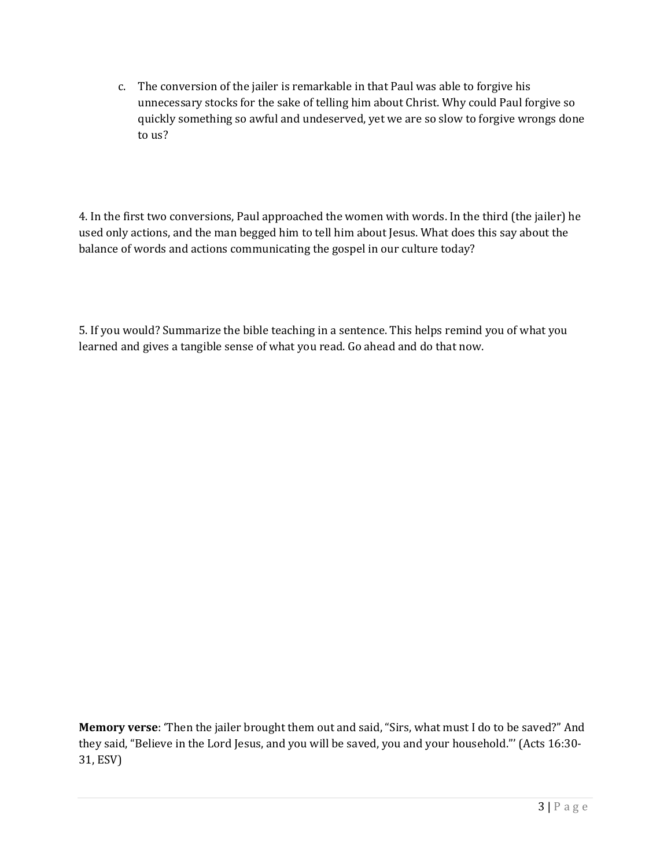c. The conversion of the jailer is remarkable in that Paul was able to forgive his unnecessary stocks for the sake of telling him about Christ. Why could Paul forgive so quickly something so awful and undeserved, yet we are so slow to forgive wrongs done to us?

4. In the first two conversions, Paul approached the women with words. In the third (the jailer) he used only actions, and the man begged him to tell him about Jesus. What does this say about the balance of words and actions communicating the gospel in our culture today?

5. If you would? Summarize the bible teaching in a sentence. This helps remind you of what you learned and gives a tangible sense of what you read. Go ahead and do that now.

**Memory verse**: 'Then the jailer brought them out and said, "Sirs, what must I do to be saved?" And they said, "Believe in the Lord Jesus, and you will be saved, you and your household."' (Acts 16:30- 31, ESV)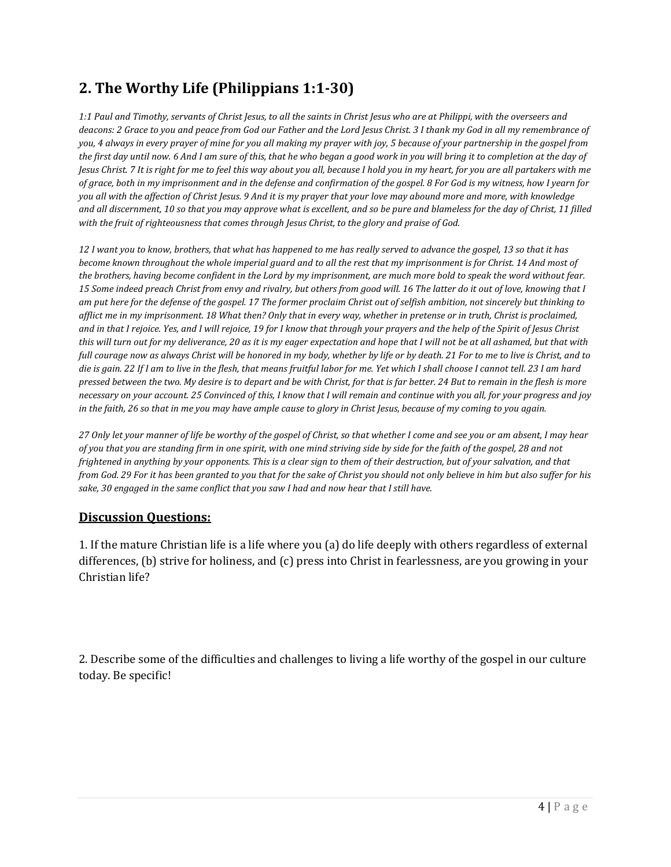# **2. The Worthy Life (Philippians 1:1-30)**

*1:1 Paul and Timothy, servants of Christ Jesus, to all the saints in Christ Jesus who are at Philippi, with the overseers and deacons: 2 Grace to you and peace from God our Father and the Lord Jesus Christ. 3 I thank my God in all my remembrance of you, 4 always in every prayer of mine for you all making my prayer with joy, 5 because of your partnership in the gospel from the first day until now. 6 And I am sure of this, that he who began a good work in you will bring it to completion at the day of Jesus Christ. 7 It is right for me to feel this way about you all, because I hold you in my heart, for you are all partakers with me of grace, both in my imprisonment and in the defense and confirmation of the gospel. 8 For God is my witness, how I yearn for you all with the affection of Christ Jesus. 9 And it is my prayer that your love may abound more and more, with knowledge and all discernment, 10 so that you may approve what is excellent, and so be pure and blameless for the day of Christ, 11 filled with the fruit of righteousness that comes through Jesus Christ, to the glory and praise of God.* 

*12 I want you to know, brothers, that what has happened to me has really served to advance the gospel, 13 so that it has become known throughout the whole imperial guard and to all the rest that my imprisonment is for Christ. 14 And most of the brothers, having become confident in the Lord by my imprisonment, are much more bold to speak the word without fear. 15 Some indeed preach Christ from envy and rivalry, but others from good will. 16 The latter do it out of love, knowing that I am put here for the defense of the gospel. 17 The former proclaim Christ out of selfish ambition, not sincerely but thinking to afflict me in my imprisonment. 18 What then? Only that in every way, whether in pretense or in truth, Christ is proclaimed, and in that I rejoice. Yes, and I will rejoice, 19 for I know that through your prayers and the help of the Spirit of Jesus Christ this will turn out for my deliverance, 20 as it is my eager expectation and hope that I will not be at all ashamed, but that with full courage now as always Christ will be honored in my body, whether by life or by death. 21 For to me to live is Christ, and to die is gain. 22 If I am to live in the flesh, that means fruitful labor for me. Yet which I shall choose I cannot tell. 23 I am hard pressed between the two. My desire is to depart and be with Christ, for that is far better. 24 But to remain in the flesh is more necessary on your account. 25 Convinced of this, I know that I will remain and continue with you all, for your progress and joy in the faith, 26 so that in me you may have ample cause to glory in Christ Jesus, because of my coming to you again.* 

*27 Only let your manner of life be worthy of the gospel of Christ, so that whether I come and see you or am absent, I may hear of you that you are standing firm in one spirit, with one mind striving side by side for the faith of the gospel, 28 and not frightened in anything by your opponents. This is a clear sign to them of their destruction, but of your salvation, and that from God. 29 For it has been granted to you that for the sake of Christ you should not only believe in him but also suffer for his sake, 30 engaged in the same conflict that you saw I had and now hear that I still have.* 

#### **Discussion Questions:**

1. If the mature Christian life is a life where you (a) do life deeply with others regardless of external differences, (b) strive for holiness, and (c) press into Christ in fearlessness, are you growing in your Christian life?

2. Describe some of the difficulties and challenges to living a life worthy of the gospel in our culture today. Be specific!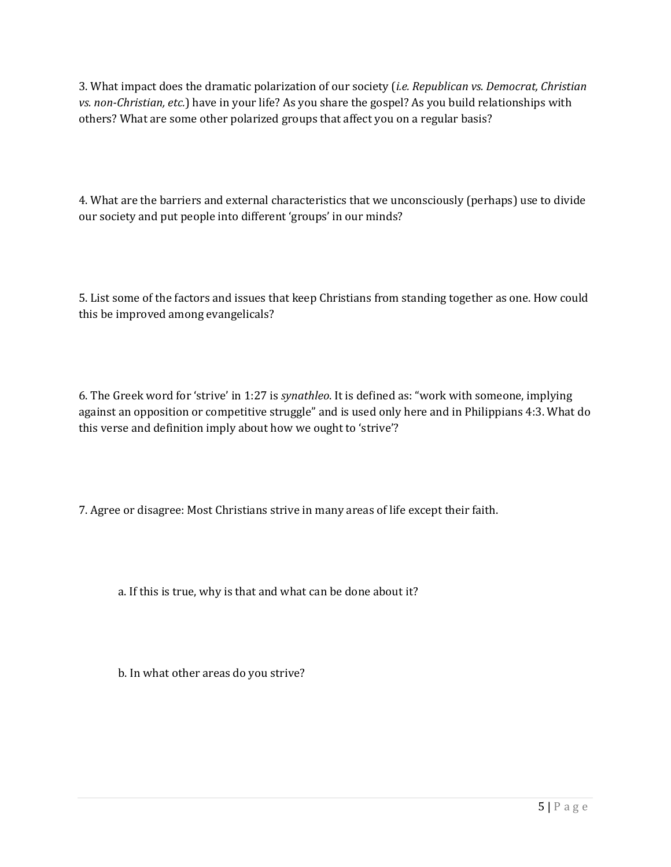3. What impact does the dramatic polarization of our society (*i.e. Republican vs. Democrat, Christian vs. non-Christian, etc.*) have in your life? As you share the gospel? As you build relationships with others? What are some other polarized groups that affect you on a regular basis?

4. What are the barriers and external characteristics that we unconsciously (perhaps) use to divide our society and put people into different 'groups' in our minds?

5. List some of the factors and issues that keep Christians from standing together as one. How could this be improved among evangelicals?

6. The Greek word for 'strive' in 1:27 is *synathleo*. It is defined as: "work with someone, implying against an opposition or competitive struggle" and is used only here and in Philippians 4:3. What do this verse and definition imply about how we ought to 'strive'?

7. Agree or disagree: Most Christians strive in many areas of life except their faith.

a. If this is true, why is that and what can be done about it?

b. In what other areas do you strive?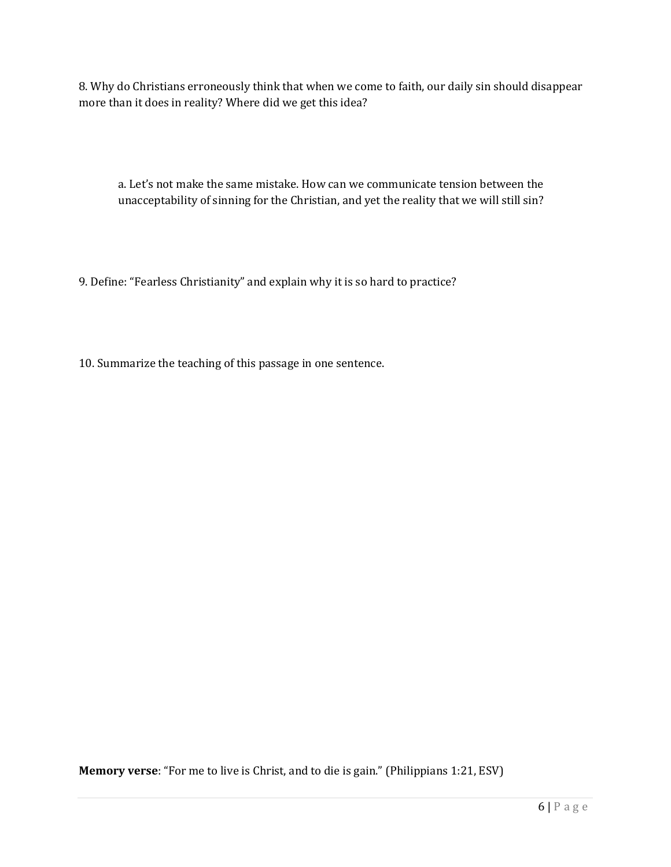8. Why do Christians erroneously think that when we come to faith, our daily sin should disappear more than it does in reality? Where did we get this idea?

a. Let's not make the same mistake. How can we communicate tension between the unacceptability of sinning for the Christian, and yet the reality that we will still sin?

9. Define: "Fearless Christianity" and explain why it is so hard to practice?

10. Summarize the teaching of this passage in one sentence.

**Memory verse**: "For me to live is Christ, and to die is gain." (Philippians 1:21, ESV)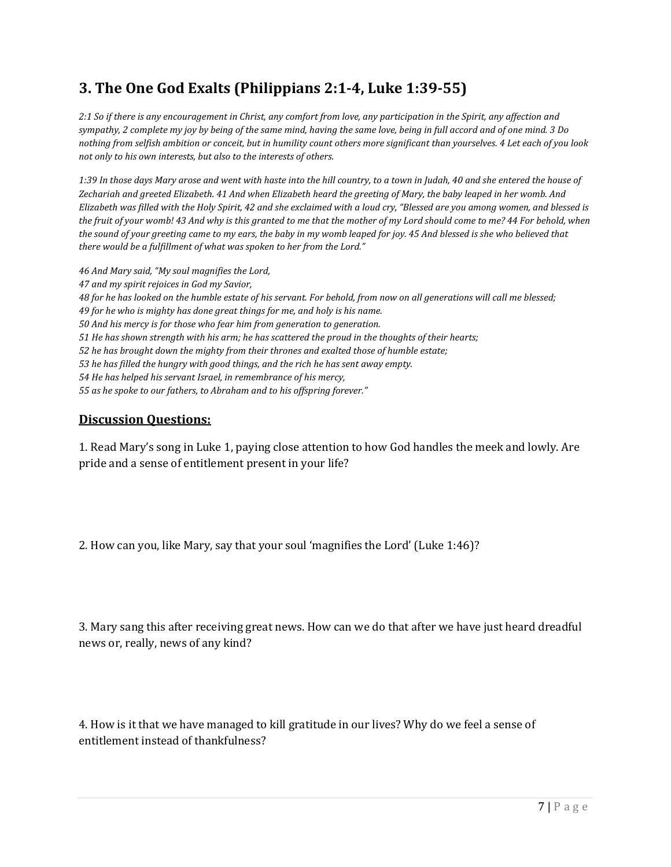# **3. The One God Exalts (Philippians 2:1-4, Luke 1:39-55)**

*2:1 So if there is any encouragement in Christ, any comfort from love, any participation in the Spirit, any affection and sympathy, 2 complete my joy by being of the same mind, having the same love, being in full accord and of one mind. 3 Do nothing from selfish ambition or conceit, but in humility count others more significant than yourselves. 4 Let each of you look not only to his own interests, but also to the interests of others.* 

*1:39 In those days Mary arose and went with haste into the hill country, to a town in Judah, 40 and she entered the house of Zechariah and greeted Elizabeth. 41 And when Elizabeth heard the greeting of Mary, the baby leaped in her womb. And Elizabeth was filled with the Holy Spirit, 42 and she exclaimed with a loud cry, "Blessed are you among women, and blessed is the fruit of your womb! 43 And why is this granted to me that the mother of my Lord should come to me? 44 For behold, when the sound of your greeting came to my ears, the baby in my womb leaped for joy. 45 And blessed is she who believed that there would be a fulfillment of what was spoken to her from the Lord."* 

*46 And Mary said, "My soul magnifies the Lord, 47 and my spirit rejoices in God my Savior, 48 for he has looked on the humble estate of his servant. For behold, from now on all generations will call me blessed; 49 for he who is mighty has done great things for me, and holy is his name. 50 And his mercy is for those who fear him from generation to generation. 51 He has shown strength with his arm; he has scattered the proud in the thoughts of their hearts; 52 he has brought down the mighty from their thrones and exalted those of humble estate; 53 he has filled the hungry with good things, and the rich he has sent away empty. 54 He has helped his servant Israel, in remembrance of his mercy, 55 as he spoke to our fathers, to Abraham and to his offspring forever."* 

#### **Discussion Questions:**

1. Read Mary's song in Luke 1, paying close attention to how God handles the meek and lowly. Are pride and a sense of entitlement present in your life?

2. How can you, like Mary, say that your soul 'magnifies the Lord' (Luke 1:46)?

3. Mary sang this after receiving great news. How can we do that after we have just heard dreadful news or, really, news of any kind?

4. How is it that we have managed to kill gratitude in our lives? Why do we feel a sense of entitlement instead of thankfulness?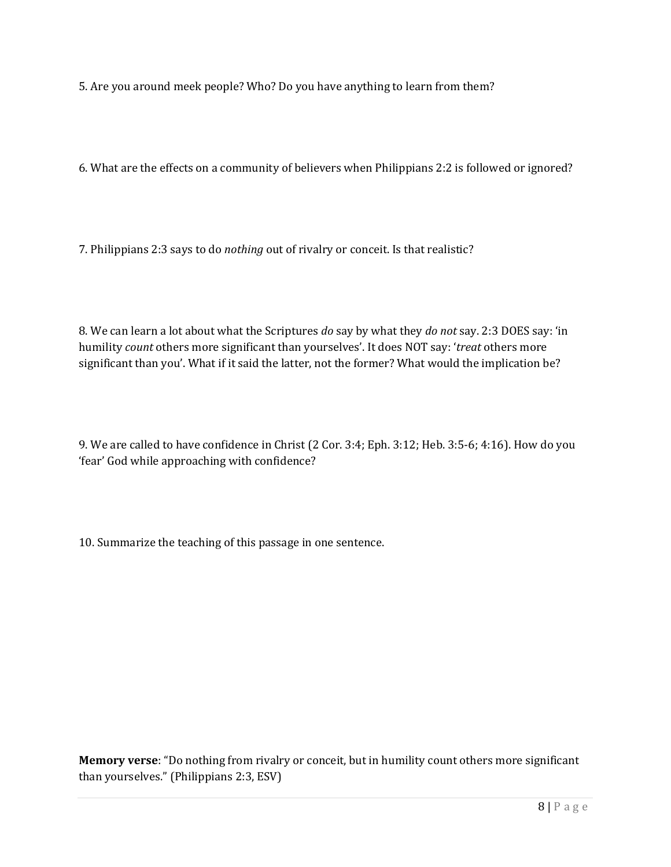5. Are you around meek people? Who? Do you have anything to learn from them?

6. What are the effects on a community of believers when Philippians 2:2 is followed or ignored?

7. Philippians 2:3 says to do *nothing* out of rivalry or conceit. Is that realistic?

8. We can learn a lot about what the Scriptures *do* say by what they *do not* say. 2:3 DOES say: 'in humility *count* others more significant than yourselves'. It does NOT say: '*treat* others more significant than you'. What if it said the latter, not the former? What would the implication be?

9. We are called to have confidence in Christ (2 Cor. 3:4; Eph. 3:12; Heb. 3:5-6; 4:16). How do you 'fear' God while approaching with confidence?

10. Summarize the teaching of this passage in one sentence.

**Memory verse**: "Do nothing from rivalry or conceit, but in humility count others more significant than yourselves." (Philippians 2:3, ESV)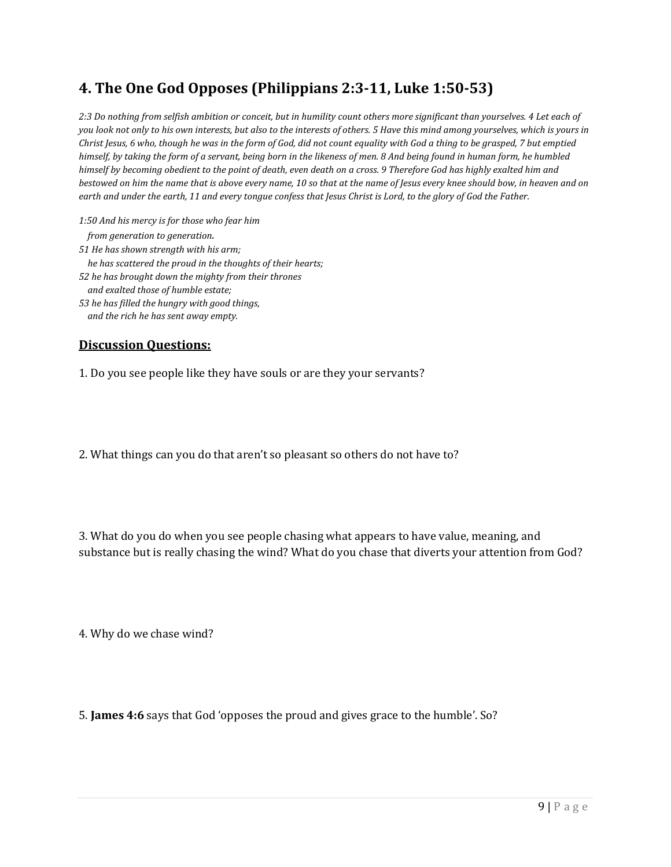### **4. The One God Opposes (Philippians 2:3-11, Luke 1:50-53)**

*2:3 Do nothing from selfish ambition or conceit, but in humility count others more significant than yourselves. 4 Let each of you look not only to his own interests, but also to the interests of others. 5 Have this mind among yourselves, which is yours in Christ Jesus, 6 who, though he was in the form of God, did not count equality with God a thing to be grasped, 7 but emptied himself, by taking the form of a servant, being born in the likeness of men. 8 And being found in human form, he humbled himself by becoming obedient to the point of death, even death on a cross. 9 Therefore God has highly exalted him and bestowed on him the name that is above every name, 10 so that at the name of Jesus every knee should bow, in heaven and on earth and under the earth, 11 and every tongue confess that Jesus Christ is Lord, to the glory of God the Father.* 

*1:50 And his mercy is for those who fear him from generation to generation. 51 He has shown strength with his arm; he has scattered the proud in the thoughts of their hearts; 52 he has brought down the mighty from their thrones and exalted those of humble estate; 53 he has filled the hungry with good things, and the rich he has sent away empty.* 

#### **Discussion Questions:**

1. Do you see people like they have souls or are they your servants?

2. What things can you do that aren't so pleasant so others do not have to?

3. What do you do when you see people chasing what appears to have value, meaning, and substance but is really chasing the wind? What do you chase that diverts your attention from God?

4. Why do we chase wind?

5. **James 4:6** says that God 'opposes the proud and gives grace to the humble'. So?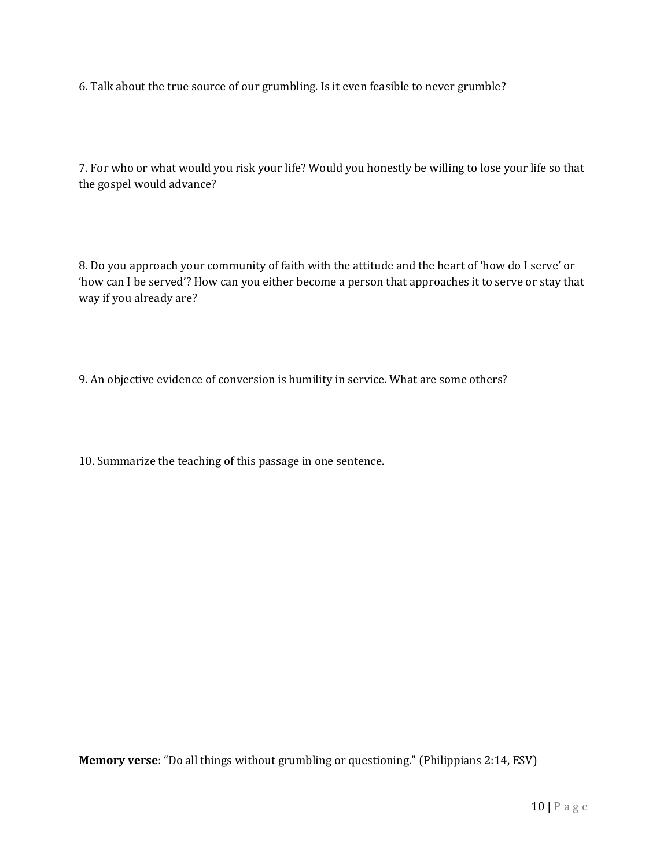6. Talk about the true source of our grumbling. Is it even feasible to never grumble?

7. For who or what would you risk your life? Would you honestly be willing to lose your life so that the gospel would advance?

8. Do you approach your community of faith with the attitude and the heart of 'how do I serve' or 'how can I be served'? How can you either become a person that approaches it to serve or stay that way if you already are?

9. An objective evidence of conversion is humility in service. What are some others?

10. Summarize the teaching of this passage in one sentence.

**Memory verse**: "Do all things without grumbling or questioning." (Philippians 2:14, ESV)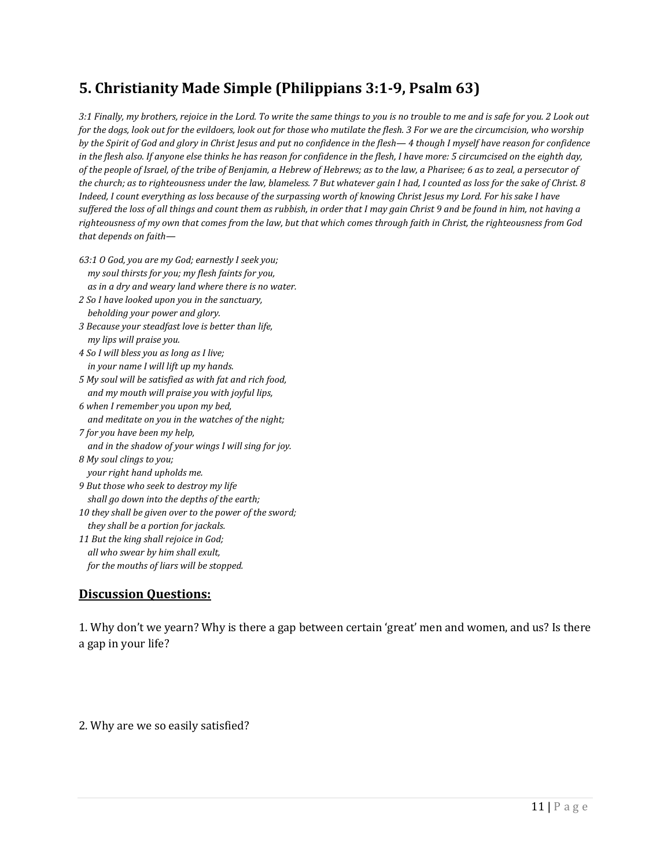# **5. Christianity Made Simple (Philippians 3:1-9, Psalm 63)**

*3:1 Finally, my brothers, rejoice in the Lord. To write the same things to you is no trouble to me and is safe for you. 2 Look out for the dogs, look out for the evildoers, look out for those who mutilate the flesh. 3 For we are the circumcision, who worship by the Spirit of God and glory in Christ Jesus and put no confidence in the flesh— 4 though I myself have reason for confidence in the flesh also. If anyone else thinks he has reason for confidence in the flesh, I have more: 5 circumcised on the eighth day, of the people of Israel, of the tribe of Benjamin, a Hebrew of Hebrews; as to the law, a Pharisee; 6 as to zeal, a persecutor of the church; as to righteousness under the law, blameless. 7 But whatever gain I had, I counted as loss for the sake of Christ. 8 Indeed, I count everything as loss because of the surpassing worth of knowing Christ Jesus my Lord. For his sake I have suffered the loss of all things and count them as rubbish, in order that I may gain Christ 9 and be found in him, not having a righteousness of my own that comes from the law, but that which comes through faith in Christ, the righteousness from God that depends on faith—* 

- *63:1 O God, you are my God; earnestly I seek you; my soul thirsts for you; my flesh faints for you, as in a dry and weary land where there is no water.*
- *2 So I have looked upon you in the sanctuary, beholding your power and glory.*
- *3 Because your steadfast love is better than life, my lips will praise you.*
- *4 So I will bless you as long as I live; in your name I will lift up my hands.*
- *5 My soul will be satisfied as with fat and rich food, and my mouth will praise you with joyful lips,*
- *6 when I remember you upon my bed, and meditate on you in the watches of the night;*
- *7 for you have been my help, and in the shadow of your wings I will sing for joy. 8 My soul clings to you;*
- *your right hand upholds me.*
- *9 But those who seek to destroy my life shall go down into the depths of the earth;*
- *10 they shall be given over to the power of the sword; they shall be a portion for jackals.*
- *11 But the king shall rejoice in God; all who swear by him shall exult,* 
	- *for the mouths of liars will be stopped.*

#### **Discussion Questions:**

1. Why don't we yearn? Why is there a gap between certain 'great' men and women, and us? Is there a gap in your life?

2. Why are we so easily satisfied?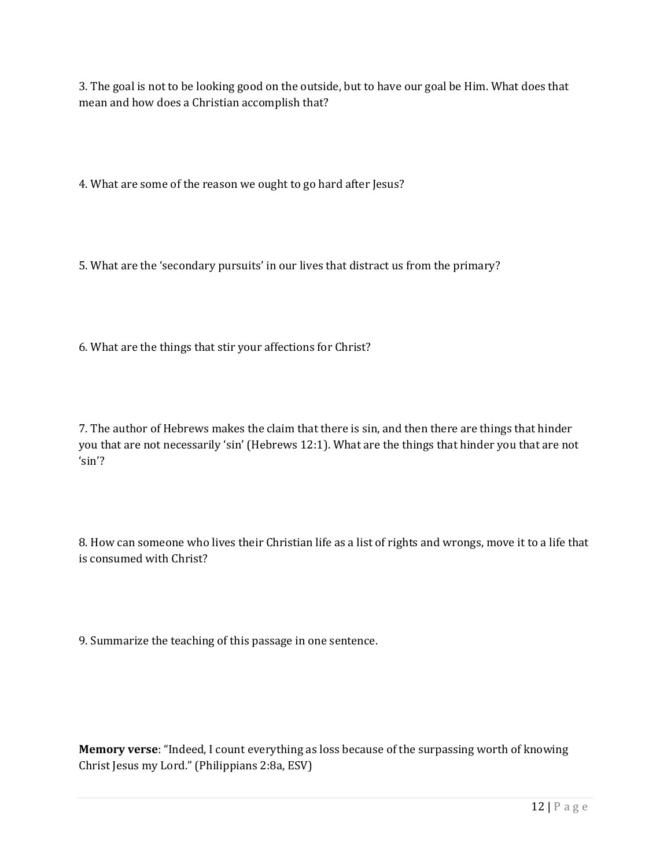3. The goal is not to be looking good on the outside, but to have our goal be Him. What does that mean and how does a Christian accomplish that?

4. What are some of the reason we ought to go hard after Jesus?

5. What are the 'secondary pursuits' in our lives that distract us from the primary?

6. What are the things that stir your affections for Christ?

7. The author of Hebrews makes the claim that there is sin, and then there are things that hinder you that are not necessarily 'sin' (Hebrews 12:1). What are the things that hinder you that are not 'sin'?

8. How can someone who lives their Christian life as a list of rights and wrongs, move it to a life that is consumed with Christ?

9. Summarize the teaching of this passage in one sentence.

**Memory verse**: "Indeed, I count everything as loss because of the surpassing worth of knowing Christ Jesus my Lord." (Philippians 2:8a, ESV)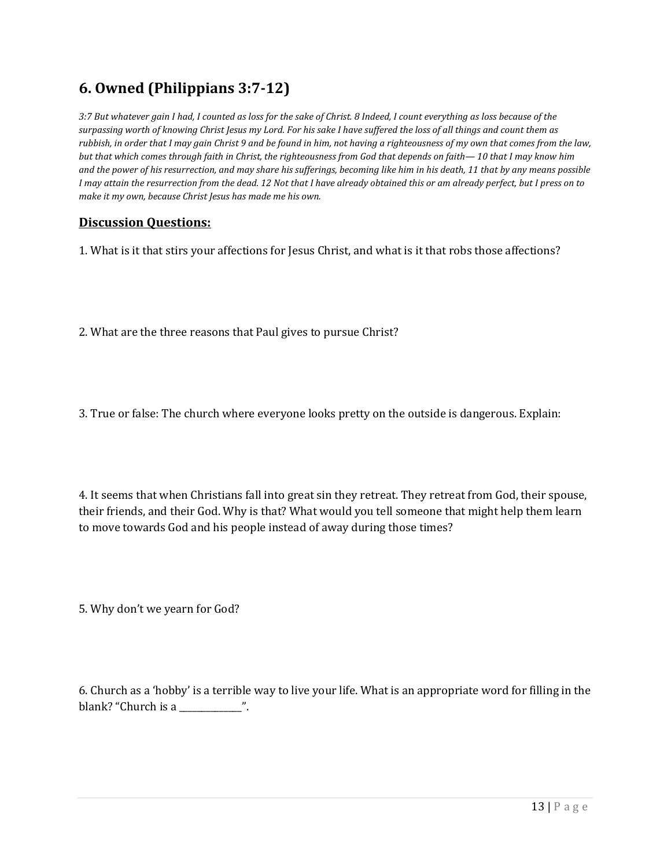### **6. Owned (Philippians 3:7-12)**

*3:7 But whatever gain I had, I counted as loss for the sake of Christ. 8 Indeed, I count everything as loss because of the surpassing worth of knowing Christ Jesus my Lord. For his sake I have suffered the loss of all things and count them as rubbish, in order that I may gain Christ 9 and be found in him, not having a righteousness of my own that comes from the law, but that which comes through faith in Christ, the righteousness from God that depends on faith— 10 that I may know him and the power of his resurrection, and may share his sufferings, becoming like him in his death, 11 that by any means possible I may attain the resurrection from the dead. 12 Not that I have already obtained this or am already perfect, but I press on to make it my own, because Christ Jesus has made me his own.* 

#### **Discussion Questions:**

1. What is it that stirs your affections for Jesus Christ, and what is it that robs those affections?

2. What are the three reasons that Paul gives to pursue Christ?

3. True or false: The church where everyone looks pretty on the outside is dangerous. Explain:

4. It seems that when Christians fall into great sin they retreat. They retreat from God, their spouse, their friends, and their God. Why is that? What would you tell someone that might help them learn to move towards God and his people instead of away during those times?

5. Why don't we yearn for God?

6. Church as a 'hobby' is a terrible way to live your life. What is an appropriate word for filling in the blank? "Church is a \_\_\_\_\_\_\_\_\_\_\_\_\_\_\_".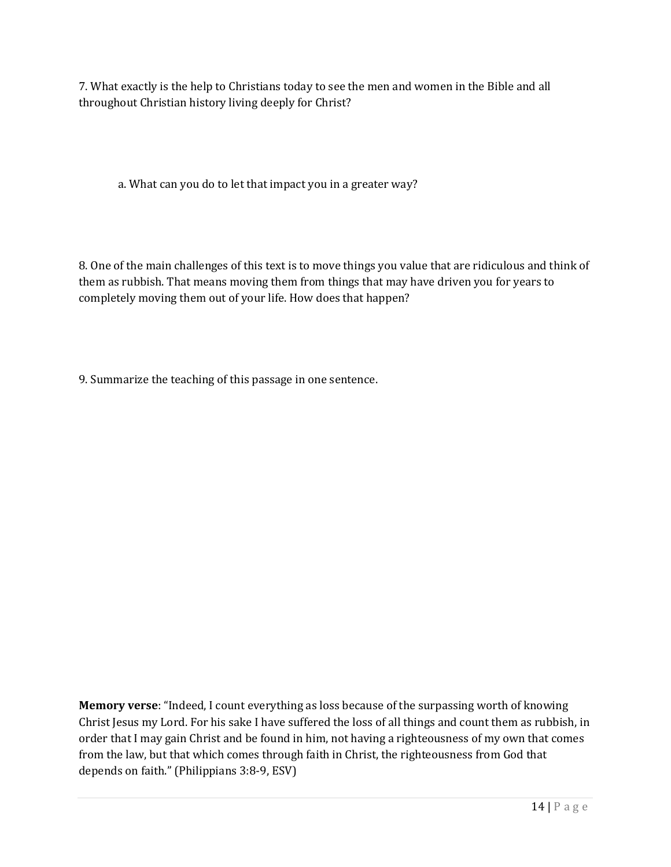7. What exactly is the help to Christians today to see the men and women in the Bible and all throughout Christian history living deeply for Christ?

a. What can you do to let that impact you in a greater way?

8. One of the main challenges of this text is to move things you value that are ridiculous and think of them as rubbish. That means moving them from things that may have driven you for years to completely moving them out of your life. How does that happen?

9. Summarize the teaching of this passage in one sentence.

**Memory verse**: "Indeed, I count everything as loss because of the surpassing worth of knowing Christ Jesus my Lord. For his sake I have suffered the loss of all things and count them as rubbish, in order that I may gain Christ and be found in him, not having a righteousness of my own that comes from the law, but that which comes through faith in Christ, the righteousness from God that depends on faith." (Philippians 3:8-9, ESV)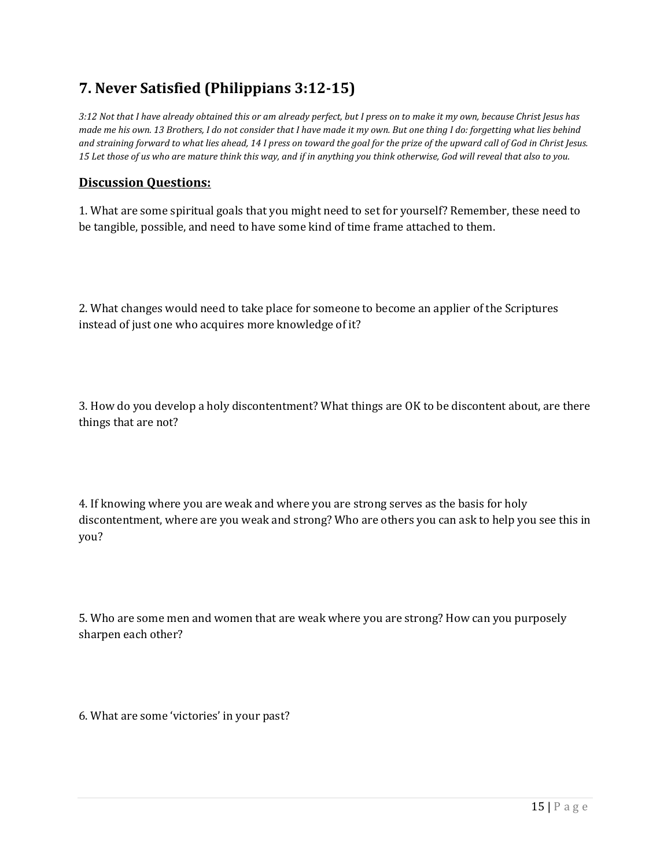# **7. Never Satisfied (Philippians 3:12-15)**

*3:12 Not that I have already obtained this or am already perfect, but I press on to make it my own, because Christ Jesus has made me his own. 13 Brothers, I do not consider that I have made it my own. But one thing I do: forgetting what lies behind and straining forward to what lies ahead, 14 I press on toward the goal for the prize of the upward call of God in Christ Jesus. 15 Let those of us who are mature think this way, and if in anything you think otherwise, God will reveal that also to you.* 

#### **Discussion Questions:**

1. What are some spiritual goals that you might need to set for yourself? Remember, these need to be tangible, possible, and need to have some kind of time frame attached to them.

2. What changes would need to take place for someone to become an applier of the Scriptures instead of just one who acquires more knowledge of it?

3. How do you develop a holy discontentment? What things are OK to be discontent about, are there things that are not?

4. If knowing where you are weak and where you are strong serves as the basis for holy discontentment, where are you weak and strong? Who are others you can ask to help you see this in you?

5. Who are some men and women that are weak where you are strong? How can you purposely sharpen each other?

6. What are some 'victories' in your past?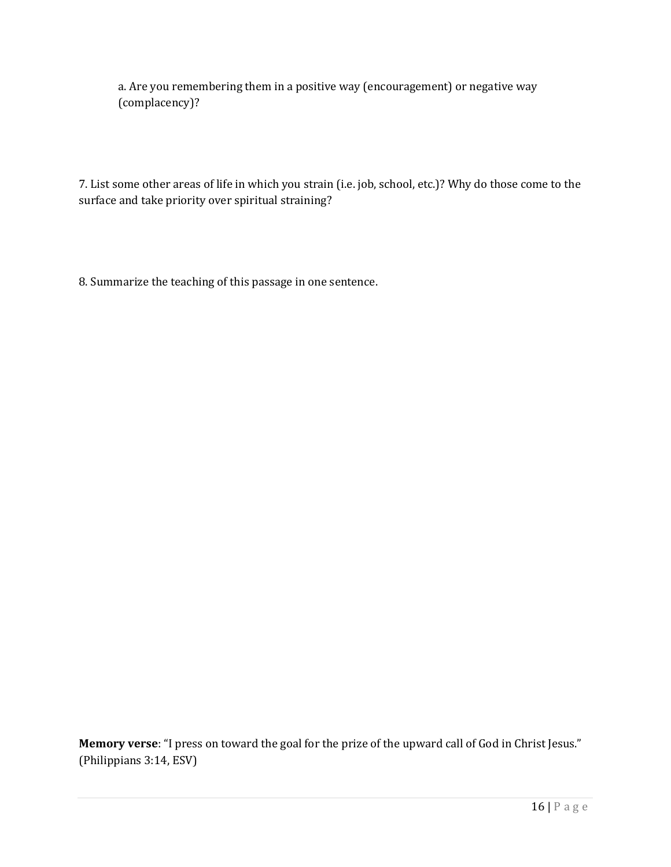a. Are you remembering them in a positive way (encouragement) or negative way (complacency)?

7. List some other areas of life in which you strain (i.e. job, school, etc.)? Why do those come to the surface and take priority over spiritual straining?

8. Summarize the teaching of this passage in one sentence.

**Memory verse**: "I press on toward the goal for the prize of the upward call of God in Christ Jesus." (Philippians 3:14, ESV)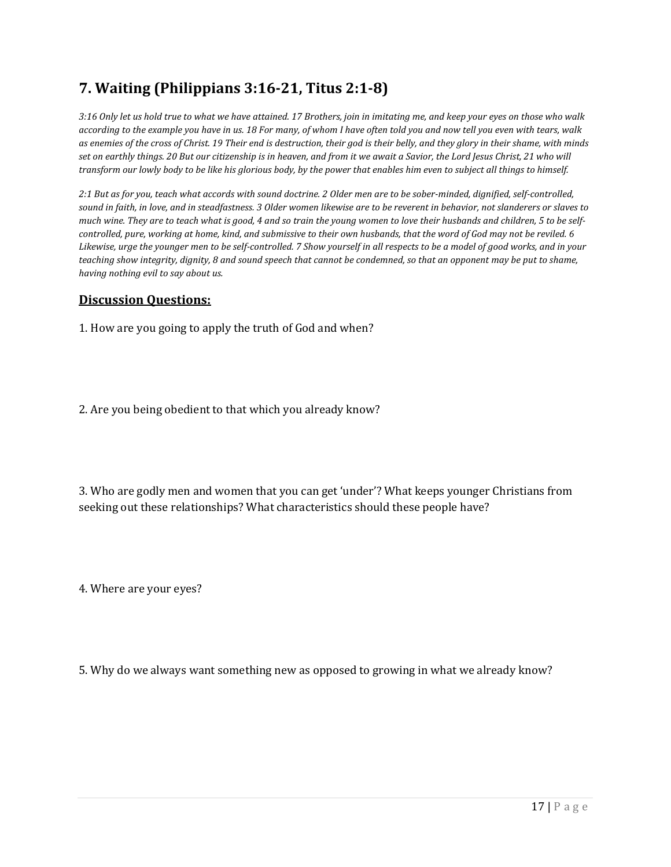# **7. Waiting (Philippians 3:16-21, Titus 2:1-8)**

*3:16 Only let us hold true to what we have attained. 17 Brothers, join in imitating me, and keep your eyes on those who walk according to the example you have in us. 18 For many, of whom I have often told you and now tell you even with tears, walk as enemies of the cross of Christ. 19 Their end is destruction, their god is their belly, and they glory in their shame, with minds set on earthly things. 20 But our citizenship is in heaven, and from it we await a Savior, the Lord Jesus Christ, 21 who will transform our lowly body to be like his glorious body, by the power that enables him even to subject all things to himself.* 

*2:1 But as for you, teach what accords with sound doctrine. 2 Older men are to be sober-minded, dignified, self-controlled, sound in faith, in love, and in steadfastness. 3 Older women likewise are to be reverent in behavior, not slanderers or slaves to much wine. They are to teach what is good, 4 and so train the young women to love their husbands and children, 5 to be selfcontrolled, pure, working at home, kind, and submissive to their own husbands, that the word of God may not be reviled. 6 Likewise, urge the younger men to be self-controlled. 7 Show yourself in all respects to be a model of good works, and in your teaching show integrity, dignity, 8 and sound speech that cannot be condemned, so that an opponent may be put to shame, having nothing evil to say about us.* 

#### **Discussion Questions:**

1. How are you going to apply the truth of God and when?

2. Are you being obedient to that which you already know?

3. Who are godly men and women that you can get 'under'? What keeps younger Christians from seeking out these relationships? What characteristics should these people have?

4. Where are your eyes?

5. Why do we always want something new as opposed to growing in what we already know?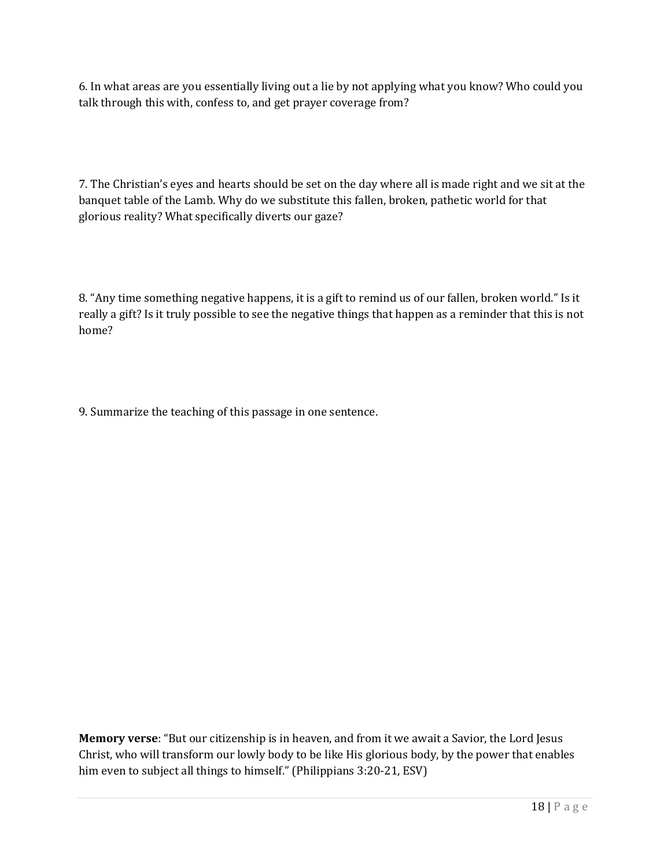6. In what areas are you essentially living out a lie by not applying what you know? Who could you talk through this with, confess to, and get prayer coverage from?

7. The Christian's eyes and hearts should be set on the day where all is made right and we sit at the banquet table of the Lamb. Why do we substitute this fallen, broken, pathetic world for that glorious reality? What specifically diverts our gaze?

8. "Any time something negative happens, it is a gift to remind us of our fallen, broken world." Is it really a gift? Is it truly possible to see the negative things that happen as a reminder that this is not home?

9. Summarize the teaching of this passage in one sentence.

**Memory verse**: "But our citizenship is in heaven, and from it we await a Savior, the Lord Jesus Christ, who will transform our lowly body to be like His glorious body, by the power that enables him even to subject all things to himself." (Philippians 3:20-21, ESV)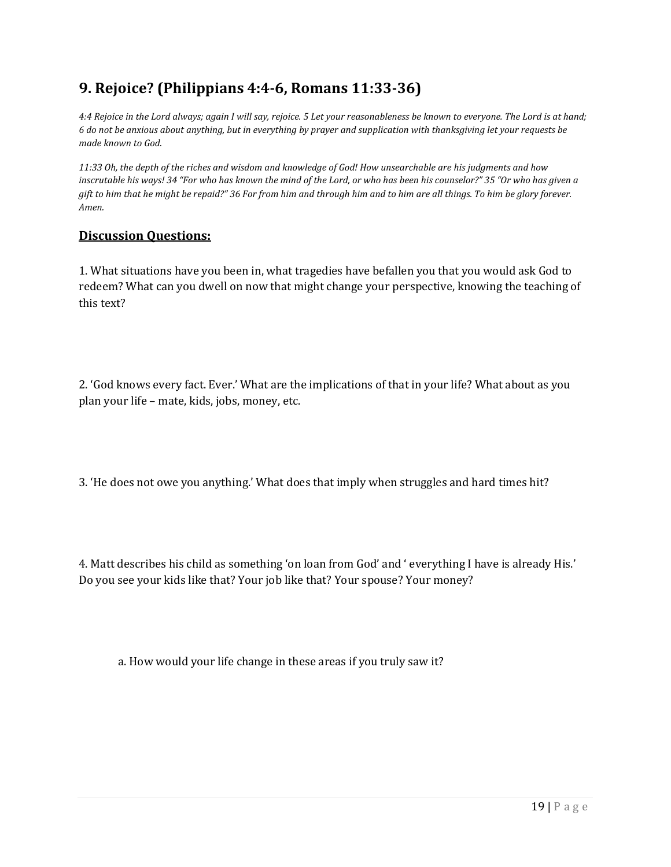# **9. Rejoice? (Philippians 4:4-6, Romans 11:33-36)**

*4:4 Rejoice in the Lord always; again I will say, rejoice. 5 Let your reasonableness be known to everyone. The Lord is at hand; 6 do not be anxious about anything, but in everything by prayer and supplication with thanksgiving let your requests be made known to God.* 

*11:33 Oh, the depth of the riches and wisdom and knowledge of God! How unsearchable are his judgments and how inscrutable his ways! 34 "For who has known the mind of the Lord, or who has been his counselor?" 35 "Or who has given a gift to him that he might be repaid?" 36 For from him and through him and to him are all things. To him be glory forever. Amen.* 

#### **Discussion Questions:**

1. What situations have you been in, what tragedies have befallen you that you would ask God to redeem? What can you dwell on now that might change your perspective, knowing the teaching of this text?

2. 'God knows every fact. Ever.' What are the implications of that in your life? What about as you plan your life – mate, kids, jobs, money, etc.

3. 'He does not owe you anything.' What does that imply when struggles and hard times hit?

4. Matt describes his child as something 'on loan from God' and ' everything I have is already His.' Do you see your kids like that? Your job like that? Your spouse? Your money?

a. How would your life change in these areas if you truly saw it?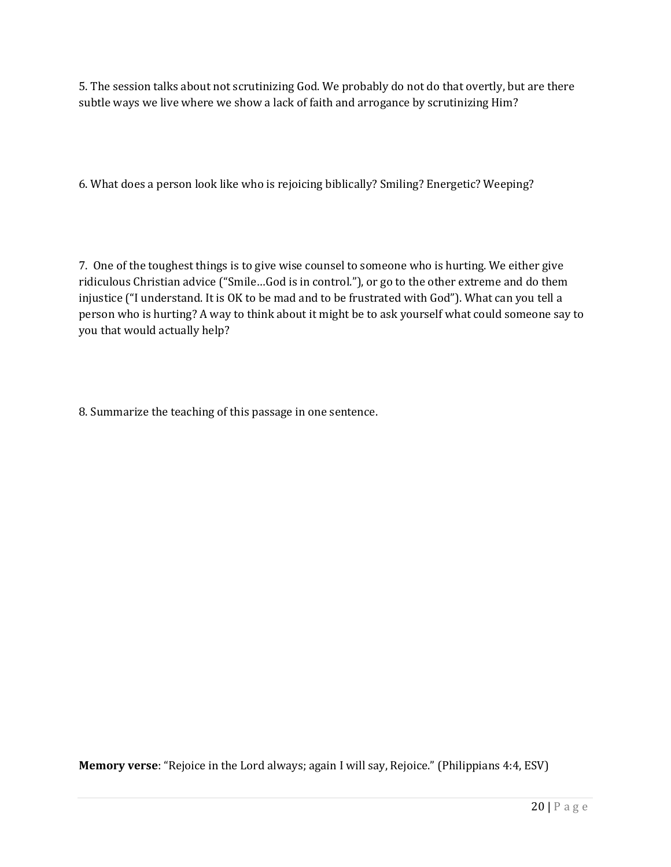5. The session talks about not scrutinizing God. We probably do not do that overtly, but are there subtle ways we live where we show a lack of faith and arrogance by scrutinizing Him?

6. What does a person look like who is rejoicing biblically? Smiling? Energetic? Weeping?

7. One of the toughest things is to give wise counsel to someone who is hurting. We either give ridiculous Christian advice ("Smile…God is in control."), or go to the other extreme and do them injustice ("I understand. It is OK to be mad and to be frustrated with God"). What can you tell a person who is hurting? A way to think about it might be to ask yourself what could someone say to you that would actually help?

8. Summarize the teaching of this passage in one sentence.

**Memory verse**: "Rejoice in the Lord always; again I will say, Rejoice." (Philippians 4:4, ESV)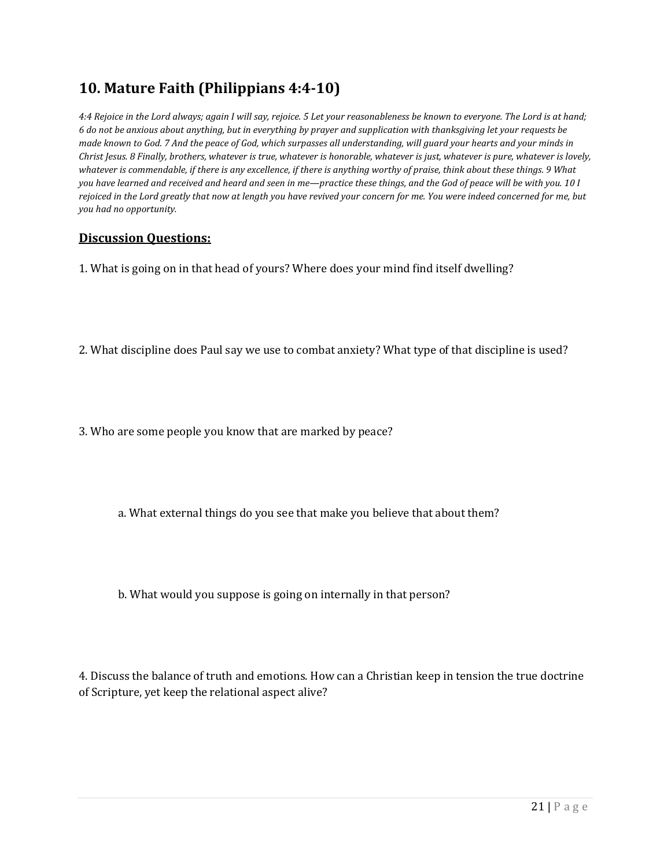### **10. Mature Faith (Philippians 4:4-10)**

*4:4 Rejoice in the Lord always; again I will say, rejoice. 5 Let your reasonableness be known to everyone. The Lord is at hand; 6 do not be anxious about anything, but in everything by prayer and supplication with thanksgiving let your requests be made known to God. 7 And the peace of God, which surpasses all understanding, will guard your hearts and your minds in Christ Jesus. 8 Finally, brothers, whatever is true, whatever is honorable, whatever is just, whatever is pure, whatever is lovely, whatever is commendable, if there is any excellence, if there is anything worthy of praise, think about these things. 9 What you have learned and received and heard and seen in me—practice these things, and the God of peace will be with you. 10 I rejoiced in the Lord greatly that now at length you have revived your concern for me. You were indeed concerned for me, but you had no opportunity.* 

#### **Discussion Questions:**

1. What is going on in that head of yours? Where does your mind find itself dwelling?

2. What discipline does Paul say we use to combat anxiety? What type of that discipline is used?

3. Who are some people you know that are marked by peace?

a. What external things do you see that make you believe that about them?

b. What would you suppose is going on internally in that person?

4. Discuss the balance of truth and emotions. How can a Christian keep in tension the true doctrine of Scripture, yet keep the relational aspect alive?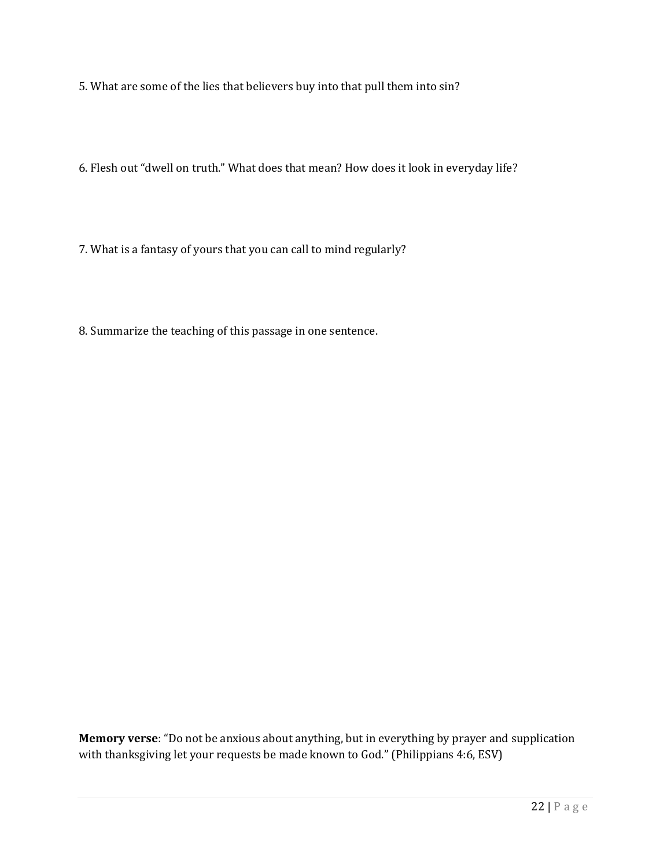5. What are some of the lies that believers buy into that pull them into sin?

6. Flesh out "dwell on truth." What does that mean? How does it look in everyday life?

7. What is a fantasy of yours that you can call to mind regularly?

8. Summarize the teaching of this passage in one sentence.

**Memory verse**: "Do not be anxious about anything, but in everything by prayer and supplication with thanksgiving let your requests be made known to God." (Philippians 4:6, ESV)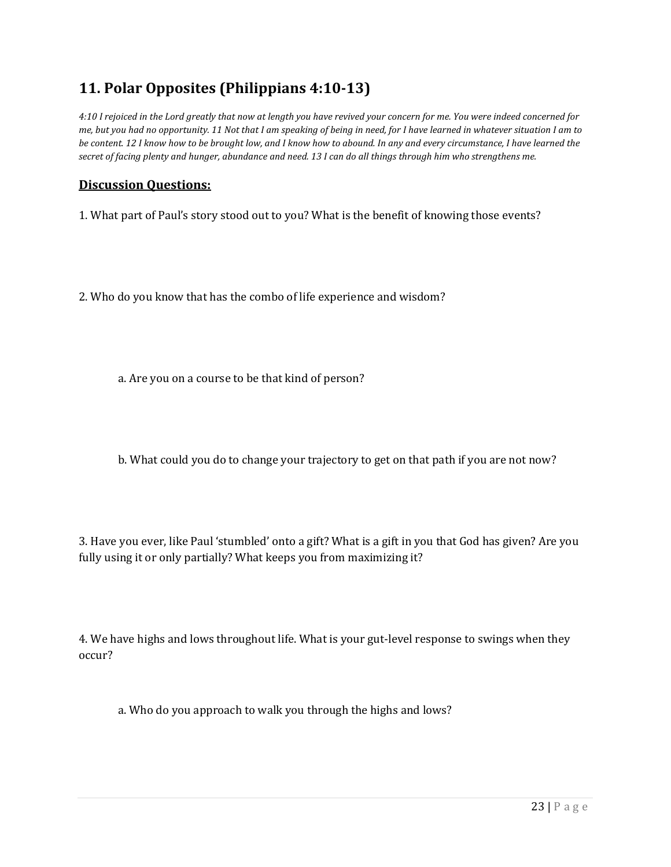# **11. Polar Opposites (Philippians 4:10-13)**

*4:10 I rejoiced in the Lord greatly that now at length you have revived your concern for me. You were indeed concerned for me, but you had no opportunity. 11 Not that I am speaking of being in need, for I have learned in whatever situation I am to be content. 12 I know how to be brought low, and I know how to abound. In any and every circumstance, I have learned the secret of facing plenty and hunger, abundance and need. 13 I can do all things through him who strengthens me.* 

#### **Discussion Questions:**

1. What part of Paul's story stood out to you? What is the benefit of knowing those events?

2. Who do you know that has the combo of life experience and wisdom?

a. Are you on a course to be that kind of person?

b. What could you do to change your trajectory to get on that path if you are not now?

3. Have you ever, like Paul 'stumbled' onto a gift? What is a gift in you that God has given? Are you fully using it or only partially? What keeps you from maximizing it?

4. We have highs and lows throughout life. What is your gut-level response to swings when they occur?

a. Who do you approach to walk you through the highs and lows?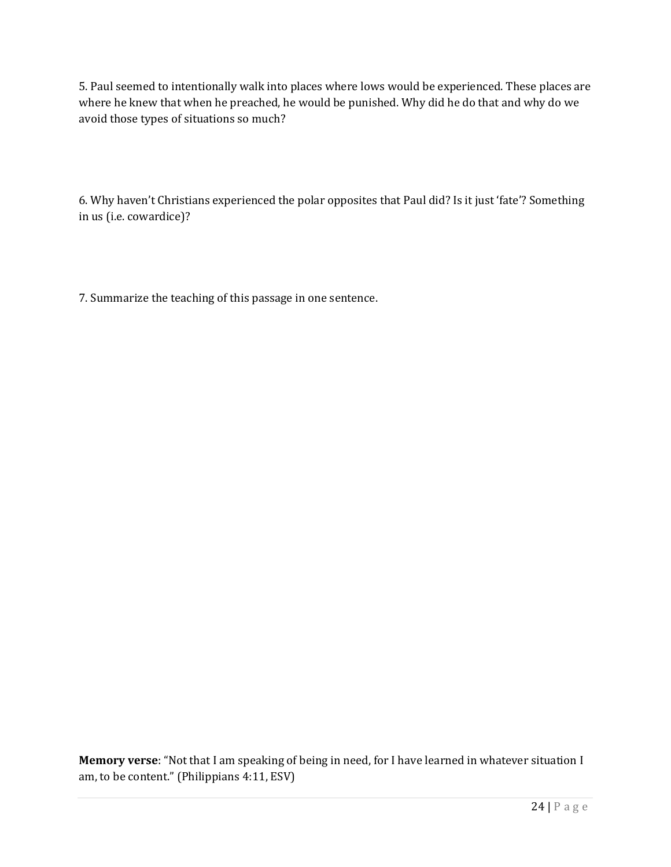5. Paul seemed to intentionally walk into places where lows would be experienced. These places are where he knew that when he preached, he would be punished. Why did he do that and why do we avoid those types of situations so much?

6. Why haven't Christians experienced the polar opposites that Paul did? Is it just 'fate'? Something in us (i.e. cowardice)?

7. Summarize the teaching of this passage in one sentence.

**Memory verse**: "Not that I am speaking of being in need, for I have learned in whatever situation I am, to be content." (Philippians 4:11, ESV)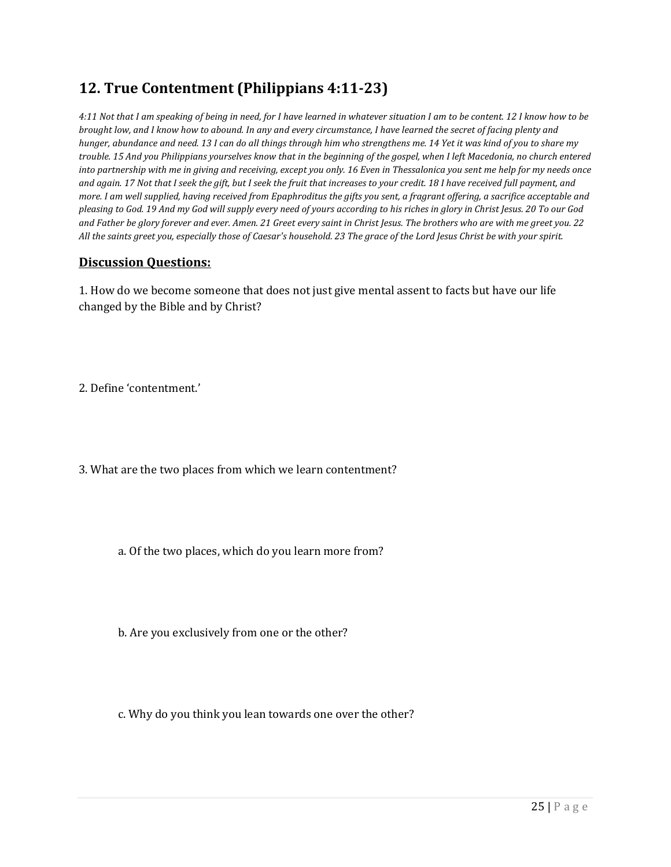# **12. True Contentment (Philippians 4:11-23)**

*4:11 Not that I am speaking of being in need, for I have learned in whatever situation I am to be content. 12 I know how to be brought low, and I know how to abound. In any and every circumstance, I have learned the secret of facing plenty and hunger, abundance and need. 13 I can do all things through him who strengthens me. 14 Yet it was kind of you to share my trouble. 15 And you Philippians yourselves know that in the beginning of the gospel, when I left Macedonia, no church entered into partnership with me in giving and receiving, except you only. 16 Even in Thessalonica you sent me help for my needs once and again. 17 Not that I seek the gift, but I seek the fruit that increases to your credit. 18 I have received full payment, and more. I am well supplied, having received from Epaphroditus the gifts you sent, a fragrant offering, a sacrifice acceptable and pleasing to God. 19 And my God will supply every need of yours according to his riches in glory in Christ Jesus. 20 To our God and Father be glory forever and ever. Amen. 21 Greet every saint in Christ Jesus. The brothers who are with me greet you. 22 All the saints greet you, especially those of Caesar's household. 23 The grace of the Lord Jesus Christ be with your spirit.* 

#### **Discussion Questions:**

1. How do we become someone that does not just give mental assent to facts but have our life changed by the Bible and by Christ?

2. Define 'contentment.'

3. What are the two places from which we learn contentment?

a. Of the two places, which do you learn more from?

b. Are you exclusively from one or the other?

c. Why do you think you lean towards one over the other?